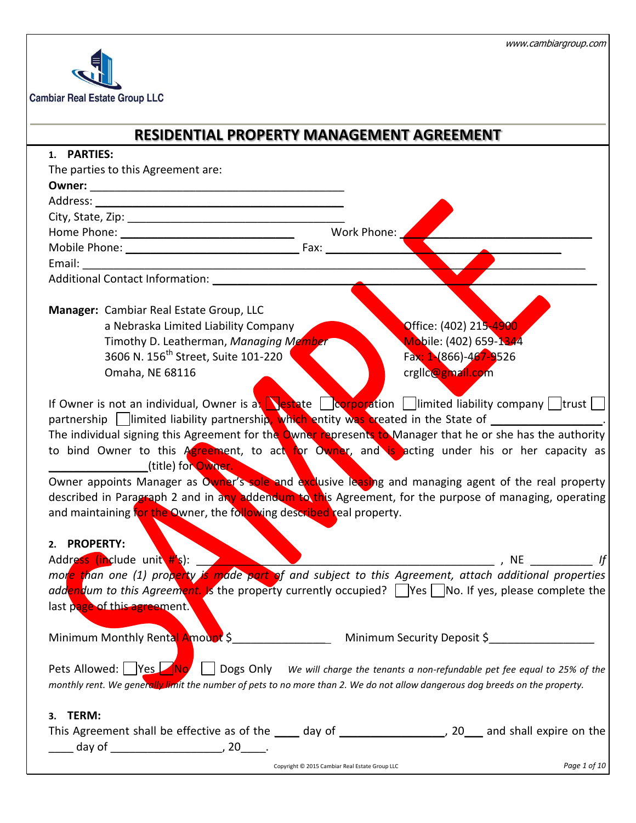

|                                                                                                                                                                                                                                | <b>RESIDENTIAL PROPERTY MANAGEMENT AGREEMENT</b>                                                                                                                                                                                                                                                                                                                                                                                                                                                                                     |
|--------------------------------------------------------------------------------------------------------------------------------------------------------------------------------------------------------------------------------|--------------------------------------------------------------------------------------------------------------------------------------------------------------------------------------------------------------------------------------------------------------------------------------------------------------------------------------------------------------------------------------------------------------------------------------------------------------------------------------------------------------------------------------|
| 1. PARTIES:                                                                                                                                                                                                                    |                                                                                                                                                                                                                                                                                                                                                                                                                                                                                                                                      |
| The parties to this Agreement are:                                                                                                                                                                                             |                                                                                                                                                                                                                                                                                                                                                                                                                                                                                                                                      |
| Owner: New York State State State State State State State State State State State State State State State State State State State State State State State State State State State State State State State State State State St |                                                                                                                                                                                                                                                                                                                                                                                                                                                                                                                                      |
|                                                                                                                                                                                                                                |                                                                                                                                                                                                                                                                                                                                                                                                                                                                                                                                      |
|                                                                                                                                                                                                                                |                                                                                                                                                                                                                                                                                                                                                                                                                                                                                                                                      |
|                                                                                                                                                                                                                                |                                                                                                                                                                                                                                                                                                                                                                                                                                                                                                                                      |
|                                                                                                                                                                                                                                |                                                                                                                                                                                                                                                                                                                                                                                                                                                                                                                                      |
|                                                                                                                                                                                                                                |                                                                                                                                                                                                                                                                                                                                                                                                                                                                                                                                      |
|                                                                                                                                                                                                                                |                                                                                                                                                                                                                                                                                                                                                                                                                                                                                                                                      |
|                                                                                                                                                                                                                                |                                                                                                                                                                                                                                                                                                                                                                                                                                                                                                                                      |
| Manager: Cambiar Real Estate Group, LLC                                                                                                                                                                                        |                                                                                                                                                                                                                                                                                                                                                                                                                                                                                                                                      |
| a Nebraska Limited Liability Company                                                                                                                                                                                           | Office: (402) 215-4900                                                                                                                                                                                                                                                                                                                                                                                                                                                                                                               |
| Timothy D. Leatherman, Managing Member                                                                                                                                                                                         | Mobile: (402) 659-1344                                                                                                                                                                                                                                                                                                                                                                                                                                                                                                               |
| 3606 N. 156 <sup>th</sup> Street, Suite 101-220                                                                                                                                                                                | Fax: 1 (866) - 467 - 9526                                                                                                                                                                                                                                                                                                                                                                                                                                                                                                            |
| Omaha, NE 68116                                                                                                                                                                                                                | crglic@gmail.com                                                                                                                                                                                                                                                                                                                                                                                                                                                                                                                     |
|                                                                                                                                                                                                                                |                                                                                                                                                                                                                                                                                                                                                                                                                                                                                                                                      |
| (title) for Owner.<br>and maintaining for the Owner, the following described real property.                                                                                                                                    | partnership imited liability partnership, which entity was created in the State of ________________<br>The individual signing this Agreement for the Owner represents to Manager that he or she has the authority<br>to bind Owner to this Agreement, to act for Owner, and is acting under his or her capacity as<br>Owner appoints Manager as Owner's sole and exclusive leasing and managing agent of the real property<br>described in Paragraph 2 and in any addendum to this Agreement, for the purpose of managing, operating |
| 2. PROPERTY:<br>Address (include unit #'s):                                                                                                                                                                                    | $\overline{\phantom{a}}$ , NE                                                                                                                                                                                                                                                                                                                                                                                                                                                                                                        |
|                                                                                                                                                                                                                                | mor <mark>e than one (1) property is made part o</mark> f and subject to this Agreement, attach additional properties                                                                                                                                                                                                                                                                                                                                                                                                                |
|                                                                                                                                                                                                                                | addendum to this Agreement. Is the property currently occupied? Tres TNo. If yes, please complete the                                                                                                                                                                                                                                                                                                                                                                                                                                |
| last page of this agreement.                                                                                                                                                                                                   |                                                                                                                                                                                                                                                                                                                                                                                                                                                                                                                                      |
|                                                                                                                                                                                                                                |                                                                                                                                                                                                                                                                                                                                                                                                                                                                                                                                      |
|                                                                                                                                                                                                                                |                                                                                                                                                                                                                                                                                                                                                                                                                                                                                                                                      |
|                                                                                                                                                                                                                                |                                                                                                                                                                                                                                                                                                                                                                                                                                                                                                                                      |
|                                                                                                                                                                                                                                | Pets Allowed: $Yes$ No Dogs Only We will charge the tenants a non-refundable pet fee equal to 25% of the<br>monthly rent. We generally limit the number of pets to no more than 2. We do not allow dangerous dog breeds on the property.                                                                                                                                                                                                                                                                                             |
|                                                                                                                                                                                                                                |                                                                                                                                                                                                                                                                                                                                                                                                                                                                                                                                      |
| 3. TERM:                                                                                                                                                                                                                       |                                                                                                                                                                                                                                                                                                                                                                                                                                                                                                                                      |
|                                                                                                                                                                                                                                | This Agreement shall be effective as of the _____ day of ___________________, 20___ and shall expire on the                                                                                                                                                                                                                                                                                                                                                                                                                          |
|                                                                                                                                                                                                                                |                                                                                                                                                                                                                                                                                                                                                                                                                                                                                                                                      |
|                                                                                                                                                                                                                                | Page 1 of 10<br>Copyright © 2015 Cambiar Real Estate Group LLC                                                                                                                                                                                                                                                                                                                                                                                                                                                                       |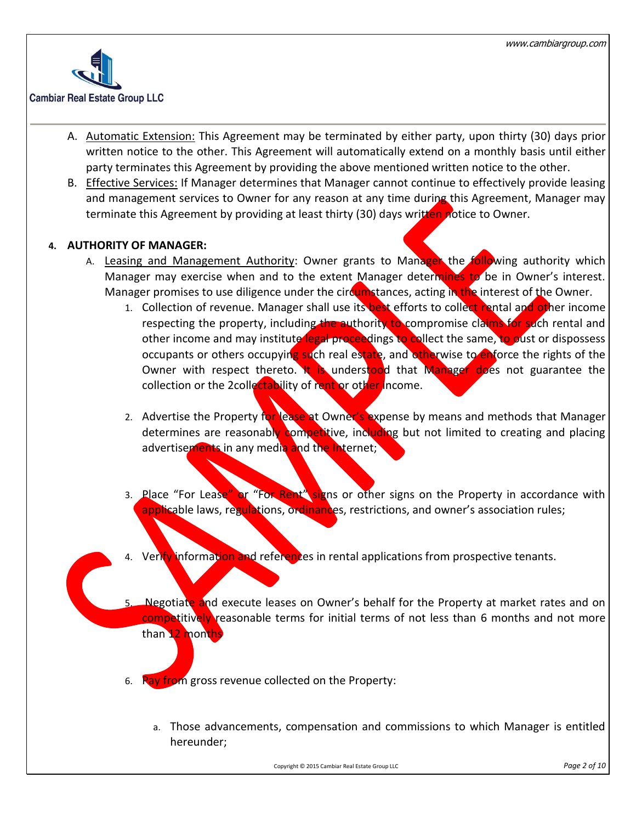

- A. Automatic Extension: This Agreement may be terminated by either party, upon thirty (30) days prior written notice to the other. This Agreement will automatically extend on a monthly basis until either party terminates this Agreement by providing the above mentioned written notice to the other.
- B. Effective Services: If Manager determines that Manager cannot continue to effectively provide leasing and management services to Owner for any reason at any time during this Agreement, Manager may terminate this Agreement by providing at least thirty (30) days written notice to Owner.

# **4. AUTHORITY OF MANAGER:**

- A. Leasing and Management Authority: Owner grants to Manager the following authority which Manager may exercise when and to the extent Manager determines to be in Owner's interest. Manager promises to use diligence under the circumstances, acting in the interest of the Owner.
	- 1. Collection of revenue. Manager shall use its best efforts to collect rental and other income respecting the property, including the authority to compromise claims for such rental and other income and may institute legal proceedings to collect the same, to oust or dispossess occupants or others occupying such real estate, and otherwise to enforce the rights of the Owner with respect thereto. It is understood that Manager does not guarantee the collection or the 2collectability of rent or other income.
	- 2. Advertise the Property for lease at Owner's expense by means and methods that Manager determines are reasonably competitive, including but not limited to creating and placing advertisements in any media and the Internet;
	- 3. Place "For Lease" or "For Rent" signs or other signs on the Property in accordance with applicable laws, regulations, ordinances, restrictions, and owner's association rules;
	- 4. Verify information and references in rental applications from prospective tenants.
	- Negotiate and execute leases on Owner's behalf for the Property at market rates and on competitively reasonable terms for initial terms of not less than 6 months and not more than 12 months
	- 6. Pay from gross revenue collected on the Property:
		- a. Those advancements, compensation and commissions to which Manager is entitled hereunder;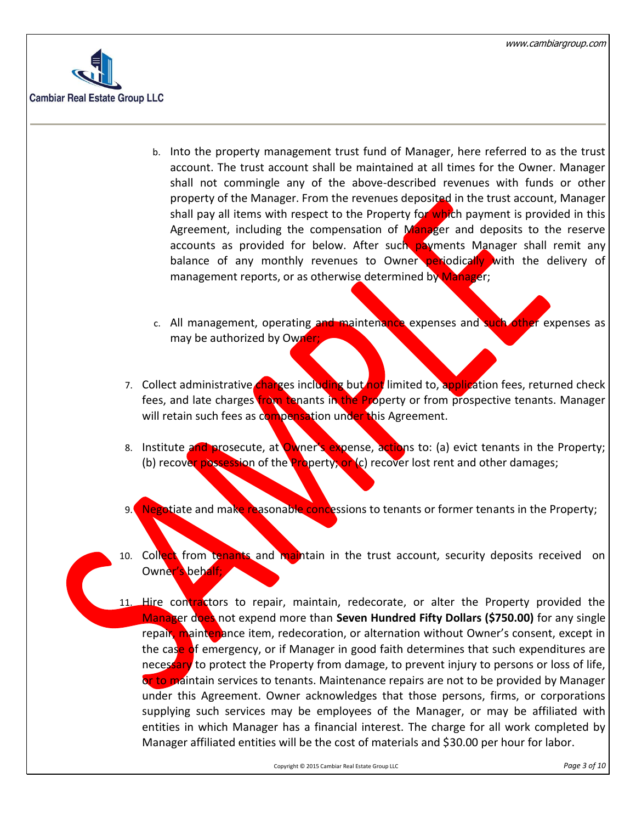

- b. Into the property management trust fund of Manager, here referred to as the trust account. The trust account shall be maintained at all times for the Owner. Manager shall not commingle any of the above-described revenues with funds or other property of the Manager. From the revenues deposited in the trust account, Manager shall pay all items with respect to the Property for which payment is provided in this Agreement, including the compensation of Manager and deposits to the reserve accounts as provided for below. After such payments Manager shall remit any balance of any monthly revenues to Owner periodically with the delivery of management reports, or as otherwise determined by Manager;
- c. All management, operating and maintenance expenses and such other expenses as may be authorized by Owner;
- 7. Collect administrative charges including but not limited to, application fees, returned check fees, and late charges *from tenants in the Property or from prospective tenants. Manager* will retain such fees as compensation under this Agreement.
- 8. Institute and prosecute, at Owner's expense, actions to: (a) evict tenants in the Property; (b) recover possession of the **Pro**perty; or  $(c)$  recover lost rent and other damages;
- 9. Negotiate and make reasonable concessions to tenants or former tenants in the Property;
- 10. Collect from tenants and maintain in the trust account, security deposits received on Owner's behalf;
- 11. Hire contractors to repair, maintain, redecorate, or alter the Property provided the Manager does not expend more than **Seven Hundred Fifty Dollars (\$750.00)** for any single repair, maintenance item, redecoration, or alternation without Owner's consent, except in the case of emergency, or if Manager in good faith determines that such expenditures are necessary to protect the Property from damage, to prevent injury to persons or loss of life, or to maintain services to tenants. Maintenance repairs are not to be provided by Manager under this Agreement. Owner acknowledges that those persons, firms, or corporations supplying such services may be employees of the Manager, or may be affiliated with entities in which Manager has a financial interest. The charge for all work completed by Manager affiliated entities will be the cost of materials and \$30.00 per hour for labor.

Copyright © 2015 Cambiar Real Estate Group LLC *Page 3 of 10*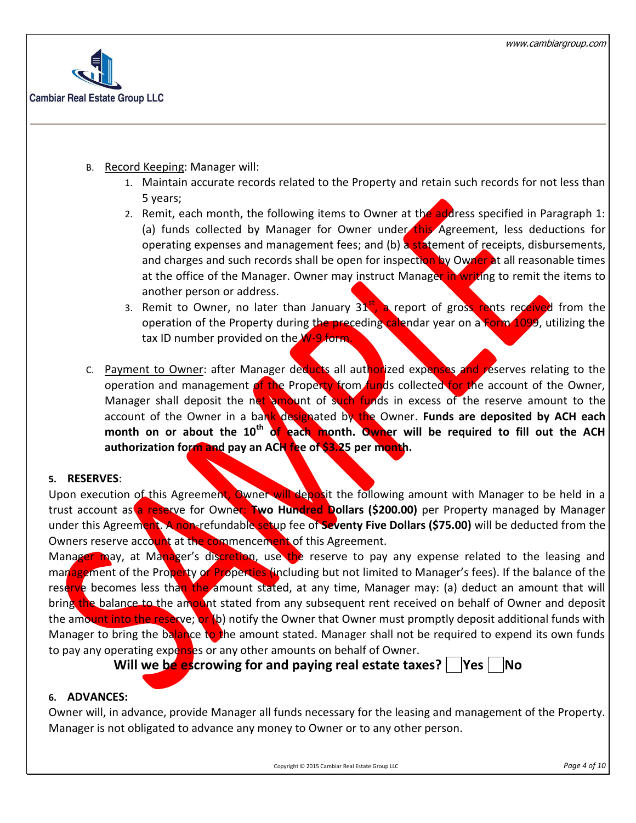

- B. Record Keeping: Manager will:
	- 1. Maintain accurate records related to the Property and retain such records for not less than 5 years;
	- 2. Remit, each month, the following items to Owner at the address specified in Paragraph 1: (a) funds collected by Manager for Owner under this Agreement, less deductions for operating expenses and management fees; and (b) a statement of receipts, disbursements, and charges and such records shall be open for inspection by Owner at all reasonable times at the office of the Manager. Owner may instruct Manager in writing to remit the items to another person or address.
	- 3. Remit to Owner, no later than January  $31<sup>st</sup>$ , a report of gross rents received from the operation of the Property during the preceding calendar year on a Form 1099, utilizing the tax ID number provided on the W-9 form
- c. Payment to Owner: after Manager deducts all authorized expenses and reserves relating to the operation and management of the Property from funds collected for the account of the Owner, Manager shall deposit the net amount of such funds in excess of the reserve amount to the account of the Owner in a bank designated by the Owner. **Funds are deposited by ACH each month on or about the 10th of each month. Owner will be required to fill out the ACH authorization form and pay an ACH fee of \$3.25 per month.**

#### **5. RESERVES**:

Upon execution of this Agreement, Owner will deposit the following amount with Manager to be held in a trust account as a reserve for Owner: **Two Hundred Dollars (\$200.00)** per Property managed by Manager under this Agreement. A non-refundable setup fee of **Seventy Five Dollars (\$75.00)** will be deducted from the Owners reserve account at the commencement of this Agreement.

Manager may, at Manager's discretion, use the reserve to pay any expense related to the leasing and management of the Property or Properties (including but not limited to Manager's fees). If the balance of the reserve becomes less than the amount stated, at any time, Manager may: (a) deduct an amount that will bring the balance to the amount stated from any subsequent rent received on behalf of Owner and deposit the amount into the reserve; or (b) notify the Owner that Owner must promptly deposit additional funds with Manager to bring the balance to the amount stated. Manager shall not be required to expend its own funds to pay any operating expenses or any other amounts on behalf of Owner.

**Will we be escrowing for and paying real estate taxes?** | Yes | No

## **6. ADVANCES:**

Owner will, in advance, provide Manager all funds necessary for the leasing and management of the Property. Manager is not obligated to advance any money to Owner or to any other person.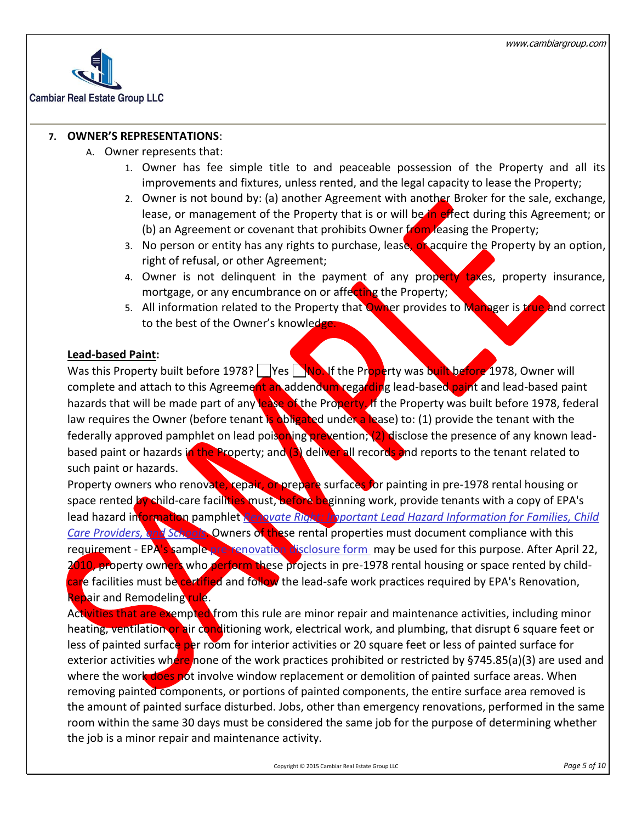

# **7. OWNER'S REPRESENTATIONS**:

- A. Owner represents that:
	- 1. Owner has fee simple title to and peaceable possession of the Property and all its improvements and fixtures, unless rented, and the legal capacity to lease the Property;
	- 2. Owner is not bound by: (a) another Agreement with another Broker for the sale, exchange, lease, or management of the Property that is or will be in effect during this Agreement; or (b) an Agreement or covenant that prohibits Owner from leasing the Property;
	- 3. No person or entity has any rights to purchase, lease, of acquire the Property by an option, right of refusal, or other Agreement;
	- 4. Owner is not delinquent in the payment of any property taxes, property insurance, mortgage, or any encumbrance on or affecting the Property;
	- 5. All information related to the Property that Owner provides to Manager is true and correct to the best of the Owner's knowledge.

#### **Lead-based Paint:**

Was this Property built before 1978? Yes No. If the Property was built before 1978, Owner will complete and attach to this Agreement an addendum regarding lead-based paint and lead-based paint hazards that will be made part of any lease of the Property. If the Property was built before 1978, federal law requires the Owner (before tenant is obligated under a lease) to: (1) provide the tenant with the federally approved pamphlet on lead poisoning prevention; (2) disclose the presence of any known leadbased paint or hazards in the Property; and (3) deliver all records and reports to the tenant related to such paint or hazards.

Property owners who renovate, repair, or prepare surfaces for painting in pre-1978 rental housing or space rented by child-care facilities must, before beginning work, provide tenants with a copy of EPA's lead hazard information pamphlet *Renovate Right: Important Lead Hazard Information for Families, Child Care Providers, and Schools*. Owners of these rental properties must document compliance with this requirement - EPA's sample [pre-renovation disclosure form](http://www.epa.gov/lead/pubs/pre-renovationform.pdf) may be used for this purpose. After April 22, 2010, property owners who perform these projects in pre-1978 rental housing or space rented by childcare facilities must be certified and follow the lead-safe work practices required by EPA's Renovation, Repair and Remodeling rule.

Activities that are exempted from this rule are minor repair and maintenance activities, including minor heating, ventilation or air conditioning work, electrical work, and plumbing, that disrupt 6 square feet or less of painted surface per room for interior activities or 20 square feet or less of painted surface for exterior activities where none of the work practices prohibited or restricted by §745.85(a)(3) are used and where the work does not involve window replacement or demolition of painted surface areas. When removing painted components, or portions of painted components, the entire surface area removed is the amount of painted surface disturbed. Jobs, other than emergency renovations, performed in the same room within the same 30 days must be considered the same job for the purpose of determining whether the job is a minor repair and maintenance activity.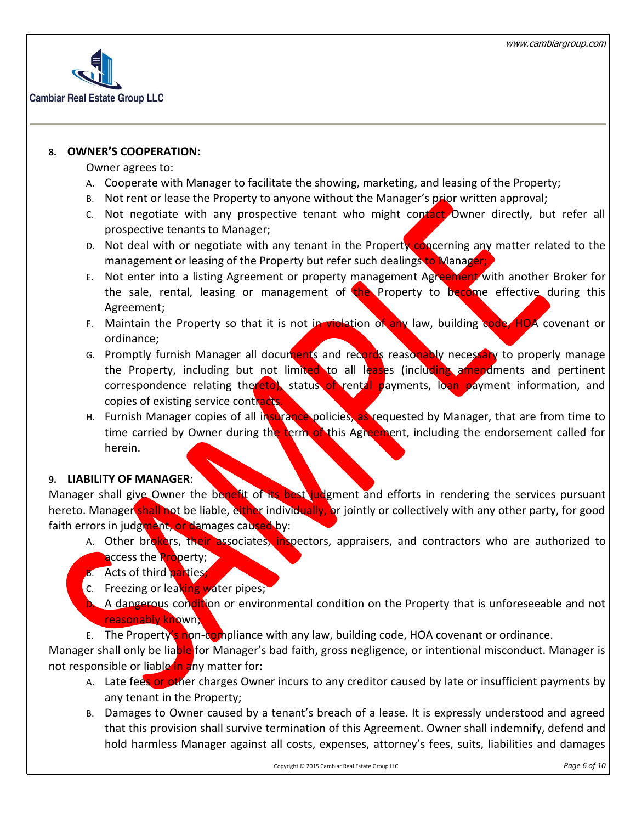

#### **8. OWNER'S COOPERATION:**

#### Owner agrees to:

- A. Cooperate with Manager to facilitate the showing, marketing, and leasing of the Property;
- B. Not rent or lease the Property to anyone without the Manager's prior written approval;
- c. Not negotiate with any prospective tenant who might contact Owner directly, but refer all prospective tenants to Manager;
- D. Not deal with or negotiate with any tenant in the Property concerning any matter related to the management or leasing of the Property but refer such dealings to Manager;
- E. Not enter into a listing Agreement or property management Agreement with another Broker for the sale, rental, leasing or management of the Property to become effective during this Agreement;
- F. Maintain the Property so that it is not in violation of any law, building code, HOA covenant or ordinance;
- G. Promptly furnish Manager all documents and records reasonably necessary to properly manage the Property, including but not limited to all leases (including amendments and pertinent correspondence relating thereto), status of rental payments, loan payment information, and copies of existing service contracts.
- H. Furnish Manager copies of all insurance policies, as requested by Manager, that are from time to time carried by Owner during the term of this Agreement, including the endorsement called for herein.

## **9. LIABILITY OF MANAGER**:

Manager shall give Owner the benefit of its best judgment and efforts in rendering the services pursuant hereto. Manager shall not be liable, either individually, or jointly or collectively with any other party, for good faith errors in judgment, or damages caused by:

- A. Other brokers, their associates, inspectors, appraisers, and contractors who are authorized to access the **Pro**perty;
- B. Acts of third parties;
- C. Freezing or leaking water pipes;
- **D.** A dangerous condition or environmental condition on the Property that is unforeseeable and not reasonably known;
- E. The Property's non-compliance with any law, building code, HOA covenant or ordinance.

Manager shall only be liable for Manager's bad faith, gross negligence, or intentional misconduct. Manager is not responsible or liable in any matter for:

- A. Late fees or other charges Owner incurs to any creditor caused by late or insufficient payments by any tenant in the Property;
- B. Damages to Owner caused by a tenant's breach of a lease. It is expressly understood and agreed that this provision shall survive termination of this Agreement. Owner shall indemnify, defend and hold harmless Manager against all costs, expenses, attorney's fees, suits, liabilities and damages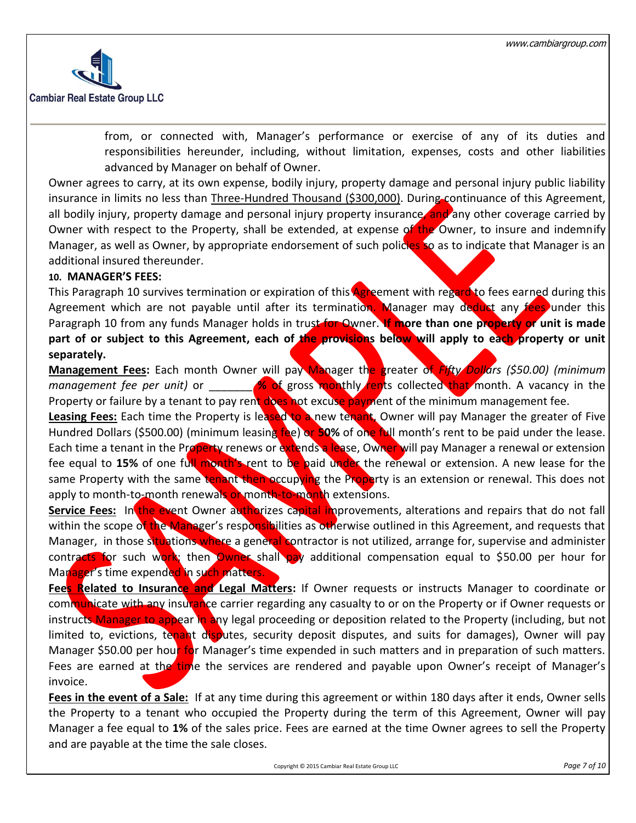

from, or connected with, Manager's performance or exercise of any of its duties and responsibilities hereunder, including, without limitation, expenses, costs and other liabilities advanced by Manager on behalf of Owner.

Owner agrees to carry, at its own expense, bodily injury, property damage and personal injury public liability insurance in limits no less than Three-Hundred Thousand (\$300,000). During continuance of this Agreement, all bodily injury, property damage and personal injury property insurance, and any other coverage carried by Owner with respect to the Property, shall be extended, at expense of the Owner, to insure and indemnify Manager, as well as Owner, by appropriate endorsement of such policies so as to indicate that Manager is an additional insured thereunder.

#### **10. MANAGER'S FEES:**

This Paragraph 10 survives termination or expiration of this **Agreement with regard to fees earned during this** Agreement which are not payable until after its termination. Manager may deduct any fees under this Paragraph 10 from any funds Manager holds in trust for Owner. **If more than one property or unit is made**  part of or subject to this Agreement, each of the provisions below will apply to each property or unit **separately.**

**Management Fees:** Each month Owner will pay Manager the greater of *Fifty Dollars (\$50.00) (minimum management fee per unit)* or \_\_\_\_\_\_\_ **% of** gross monthly rents collected that month. A vacancy in the Property or failure by a tenant to pay rent does not excuse payment of the minimum management fee.

Leasing Fees: Each time the Property is leased to a new tenant, Owner will pay Manager the greater of Five Hundred Dollars (\$500.00) (minimum leasing fee) or **50%** of one full month's rent to be paid under the lease. Each time a tenant in the Property renews or extends a lease, Owner will pay Manager a renewal or extension fee equal to 15% of one full month's rent to be paid under the renewal or extension. A new lease for the same Property with the same tenant then occupying the Property is an extension or renewal. This does not apply to month-to-month renewals or month-to-month extensions.

**Service Fees:** In the event Owner authorizes capital improvements, alterations and repairs that do not fall within the scope of the Manager's responsibilities as otherwise outlined in this Agreement, and requests that Manager, in those situations where a general contractor is not utilized, arrange for, supervise and administer contracts for such work; then Owner shall pay additional compensation equal to \$50.00 per hour for Manager's time expended in such matters.

**Fees Related to Insurance and Legal Matters:** If Owner requests or instructs Manager to coordinate or communicate with any insurance carrier regarding any casualty to or on the Property or if Owner requests or instructs Manager to appear in any legal proceeding or deposition related to the Property (including, but not limited to, evictions, tenant disputes, security deposit disputes, and suits for damages), Owner will pay Manager \$50.00 per hour for Manager's time expended in such matters and in preparation of such matters. Fees are earned at the time the services are rendered and payable upon Owner's receipt of Manager's invoice.

**Fees in the event of a Sale:** If at any time during this agreement or within 180 days after it ends, Owner sells the Property to a tenant who occupied the Property during the term of this Agreement, Owner will pay Manager a fee equal to **1%** of the sales price. Fees are earned at the time Owner agrees to sell the Property and are payable at the time the sale closes.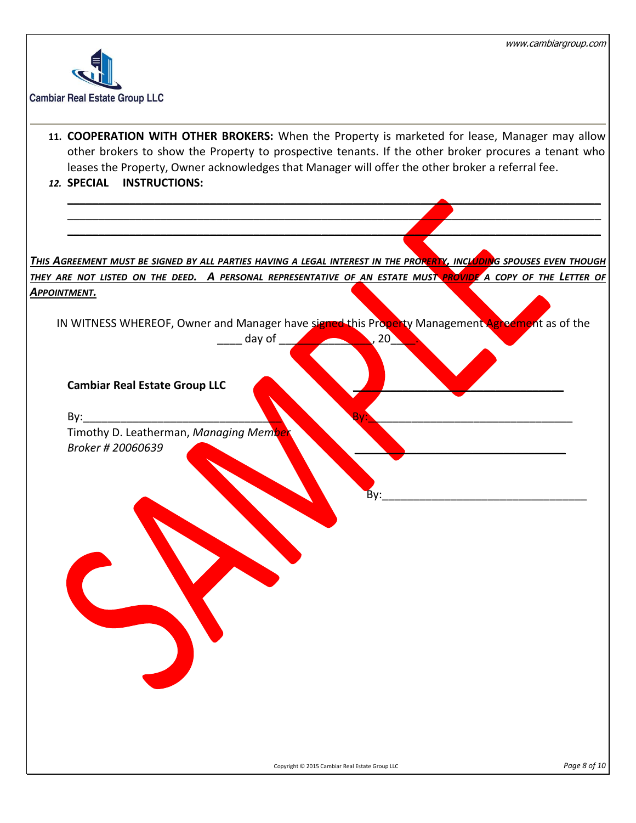

**11. COOPERATION WITH OTHER BROKERS:** When the Property is marketed for lease, Manager may allow other brokers to show the Property to prospective tenants. If the other broker procures a tenant who leases the Property, Owner acknowledges that Manager will offer the other broker a referral fee.

\_\_\_\_\_\_\_\_\_\_\_\_\_\_\_\_\_\_\_\_\_\_\_\_\_\_\_\_\_\_\_\_\_\_\_\_\_\_\_\_\_\_\_\_\_\_\_\_\_\_\_\_\_\_\_\_\_\_\_\_\_\_\_\_\_\_\_\_\_\_\_\_\_\_\_\_\_\_\_\_\_\_\_\_\_\_  $\mathcal{L}$  , and the contract of the contract of the contract of the contract of the contract of the contract of the contract of the contract of the contract of the contract of the contract of the contract of the contract o  $\mathcal{L}$  , and the contract of the contract of the contract of the contract of the contract of the contract of the contract of the contract of the contract of the contract of the contract of the contract of the contract o

*12.* **SPECIAL INSTRUCTIONS:**

*THIS AGREEMENT MUST BE SIGNED BY ALL PARTIES HAVING A LEGAL INTEREST IN THE PROPERTY, INCLUDING SPOUSES EVEN THOUGH THEY ARE NOT LISTED ON THE DEED. A PERSONAL REPRESENTATIVE OF AN ESTATE MUST PROVIDE A COPY OF THE LETTER OF APPOINTMENT.*

IN WITNESS WHEREOF, Owner and Manager have signed this Property Management Agreement as of the

 $day of$   $20$ 

#### **Cambiar Real Estate Group LLC** \_\_\_\_\_\_\_\_\_\_\_\_\_\_\_\_\_\_\_\_\_\_\_\_\_\_\_\_\_\_\_\_\_\_

By:\_\_\_\_\_\_\_\_\_\_\_\_\_\_\_\_\_\_\_\_\_\_\_\_\_\_\_\_\_\_\_\_ By:\_\_\_\_\_\_\_\_\_\_\_\_\_\_\_\_\_\_\_\_\_\_\_\_\_\_\_\_\_\_\_\_\_

Timothy D. Leatherman, *Managing Member Broker # 20060639* \_\_\_\_\_\_\_\_\_\_\_\_\_\_\_\_\_\_\_\_\_\_\_\_\_\_\_\_\_\_\_\_\_\_

By:\_\_\_\_\_\_\_\_\_\_\_\_\_\_\_\_\_\_\_\_\_\_\_\_\_\_\_\_\_\_\_\_\_

ľ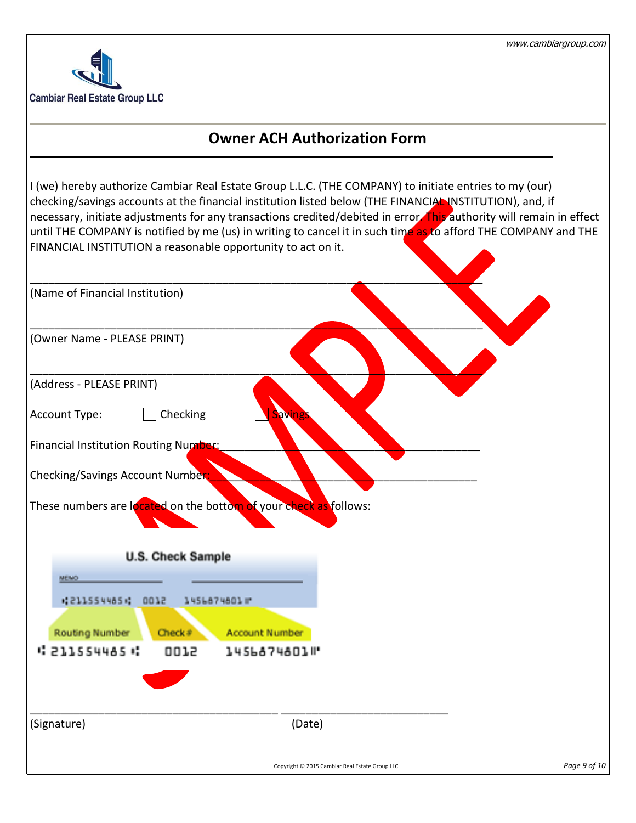

# **Owner ACH Authorization Form**

I (we) hereby authorize Cambiar Real Estate Group L.L.C. (THE COMPANY) to initiate entries to my (our) checking/savings accounts at the financial institution listed below (THE FINANCIAL INSTITUTION), and, if necessary, initiate adjustments for any transactions credited/debited in error. This authority will remain in effect until THE COMPANY is notified by me (us) in writing to cancel it in such time as to afford THE COMPANY and THE FINANCIAL INSTITUTION a reasonable opportunity to act on it.

| (Name of Financial Institution)                                   |                       |                                                |              |
|-------------------------------------------------------------------|-----------------------|------------------------------------------------|--------------|
| (Owner Name - PLEASE PRINT)                                       |                       |                                                |              |
| (Address - PLEASE PRINT)                                          |                       |                                                |              |
| Checking<br>Account Type:                                         | <b>Savings</b>        |                                                |              |
| Financial Institution Routing Number:                             |                       |                                                |              |
| Checking/Savings Account Number;                                  |                       |                                                |              |
| These numbers are located on the bottom of your check as follows: |                       |                                                |              |
| <b>U.S. Check Sample</b>                                          |                       |                                                |              |
| <b>MENO</b>                                                       |                       |                                                |              |
| 42115544854<br>0012                                               | 1456874801 m          |                                                |              |
| <b>Routing Number</b><br>Check#                                   | <b>Account Number</b> |                                                |              |
| 4 211554485 H<br>0012                                             | 1456874801 P          |                                                |              |
|                                                                   |                       |                                                |              |
| (Signature)                                                       | (Date)                |                                                |              |
|                                                                   |                       | Copyright © 2015 Cambiar Real Estate Group LLC | Page 9 of 10 |